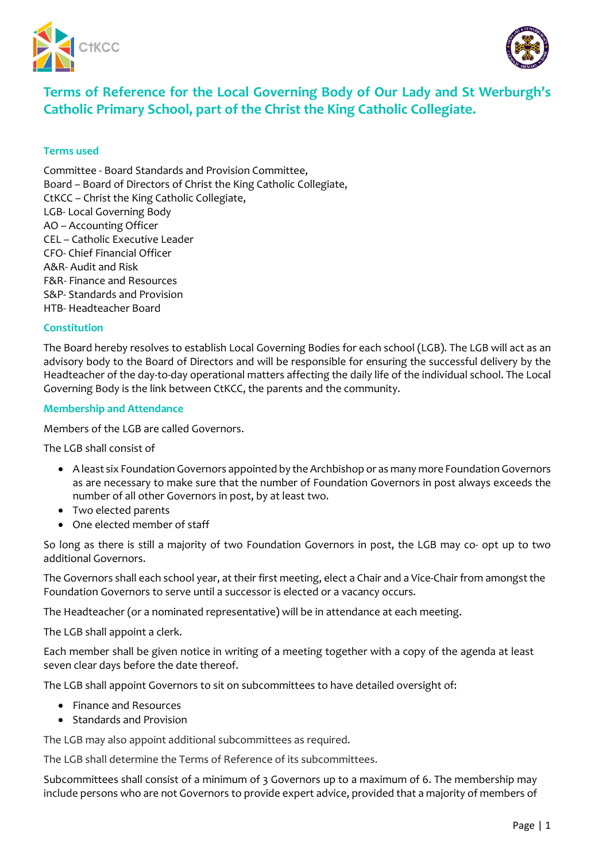



# **Terms of Reference for the Local Governing Body of Our Lady and St Werburgh's Catholic Primary School, part of the Christ the King Catholic Collegiate.**

# **Terms used**

Committee - Board Standards and Provision Committee, Board – Board of Directors of Christ the King Catholic Collegiate, CtKCC – Christ the King Catholic Collegiate, LGB- Local Governing Body AO – Accounting Officer CEL – Catholic Executive Leader CFO- Chief Financial Officer A&R- Audit and Risk F&R- Finance and Resources S&P- Standards and Provision HTB- Headteacher Board

# **Constitution**

The Board hereby resolves to establish Local Governing Bodies for each school (LGB). The LGB will act as an advisory body to the Board of Directors and will be responsible for ensuring the successful delivery by the Headteacher of the day-to-day operational matters affecting the daily life of the individual school. The Local Governing Body is the link between CtKCC, the parents and the community.

# **Membership and Attendance**

Members of the LGB are called Governors.

The LGB shall consist of

- A least six Foundation Governors appointed by the Archbishop or as many more Foundation Governors as are necessary to make sure that the number of Foundation Governors in post always exceeds the number of all other Governors in post, by at least two.
- Two elected parents
- One elected member of staff

So long as there is still a majority of two Foundation Governors in post, the LGB may co- opt up to two additional Governors.

The Governors shall each school year, at their first meeting, elect a Chair and a Vice-Chair from amongst the Foundation Governors to serve until a successor is elected or a vacancy occurs.

The Headteacher (or a nominated representative) will be in attendance at each meeting.

The LGB shall appoint a clerk.

Each member shall be given notice in writing of a meeting together with a copy of the agenda at least seven clear days before the date thereof.

The LGB shall appoint Governors to sit on subcommittees to have detailed oversight of:

- Finance and Resources
- Standards and Provision

The LGB may also appoint additional subcommittees as required.

The LGB shall determine the Terms of Reference of its subcommittees.

Subcommittees shall consist of a minimum of 3 Governors up to a maximum of 6. The membership may include persons who are not Governors to provide expert advice, provided that a majority of members of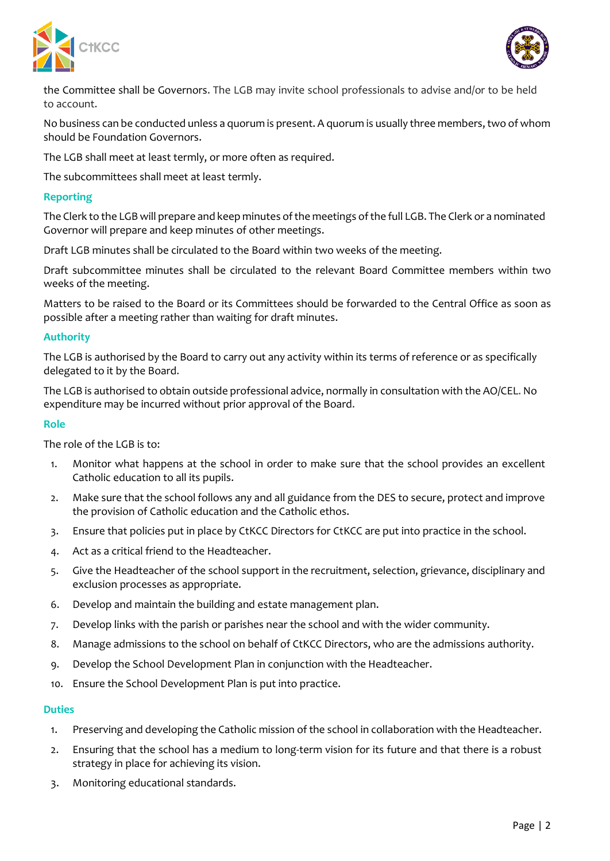



the Committee shall be Governors. The LGB may invite school professionals to advise and/or to be held to account.

No business can be conducted unless a quorum is present. A quorum is usually three members,two of whom should be Foundation Governors.

The LGB shall meet at least termly, or more often as required.

The subcommittees shall meet at least termly.

#### **Reporting**

The Clerk to the LGB will prepare and keep minutes of the meetings of the full LGB. The Clerk or a nominated Governor will prepare and keep minutes of other meetings.

Draft LGB minutes shall be circulated to the Board within two weeks of the meeting.

Draft subcommittee minutes shall be circulated to the relevant Board Committee members within two weeks of the meeting.

Matters to be raised to the Board or its Committees should be forwarded to the Central Office as soon as possible after a meeting rather than waiting for draft minutes.

# **Authority**

The LGB is authorised by the Board to carry out any activity within its terms of reference or as specifically delegated to it by the Board.

The LGB is authorised to obtain outside professional advice, normally in consultation with the AO/CEL. No expenditure may be incurred without prior approval of the Board.

#### **Role**

The role of the LGB is to:

- 1. Monitor what happens at the school in order to make sure that the school provides an excellent Catholic education to all its pupils.
- 2. Make sure that the school follows any and all guidance from the DES to secure, protect and improve the provision of Catholic education and the Catholic ethos.
- 3. Ensure that policies put in place by CtKCC Directors for CtKCC are put into practice in the school.
- 4. Act as a critical friend to the Headteacher.
- 5. Give the Headteacher of the school support in the recruitment, selection, grievance, disciplinary and exclusion processes as appropriate.
- 6. Develop and maintain the building and estate management plan.
- 7. Develop links with the parish or parishes near the school and with the wider community.
- 8. Manage admissions to the school on behalf of CtKCC Directors, who are the admissions authority.
- 9. Develop the School Development Plan in conjunction with the Headteacher.
- 10. Ensure the School Development Plan is put into practice.

#### **Duties**

- 1. Preserving and developing the Catholic mission of the school in collaboration with the Headteacher.
- 2. Ensuring that the school has a medium to long-term vision for its future and that there is a robust strategy in place for achieving its vision.
- 3. Monitoring educational standards.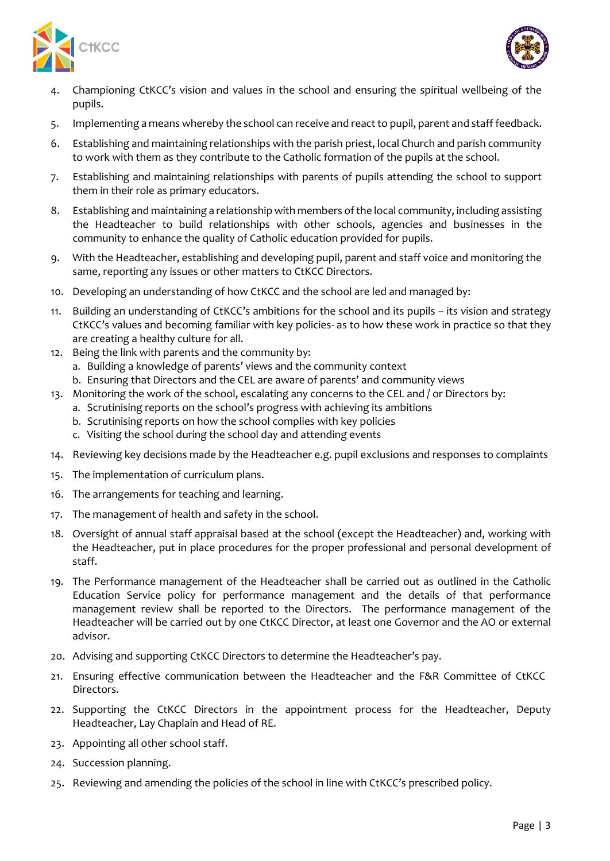



- 4. Championing CtKCC's vision and values in the school and ensuring the spiritual wellbeing of the pupils.
- 5. Implementing a means whereby the school can receive and react to pupil, parent and staff feedback.
- 6. Establishing and maintaining relationships with the parish priest, local Church and parish community to work with them as they contribute to the Catholic formation of the pupils at the school.
- 7. Establishing and maintaining relationships with parents of pupils attending the school to support them in their role as primary educators.
- 8. Establishing and maintaining a relationship with members of the local community, including assisting the Headteacher to build relationships with other schools, agencies and businesses in the community to enhance the quality of Catholic education provided for pupils.
- 9. With the Headteacher, establishing and developing pupil, parent and staff voice and monitoring the same, reporting any issues or other matters to CtKCC Directors.
- 10. Developing an understanding of how CtKCC and the school are led and managed by:
- 11. Building an understanding of CtKCC's ambitions for the school and its pupils its vision and strategy CtKCC's values and becoming familiar with key policies- as to how these work in practice so that they are creating a healthy culture for all.
- 12. Being the link with parents and the community by:
	- a. Building a knowledge of parents' views and the community context
	- b. Ensuring that Directors and the CEL are aware of parents' and community views
- 13. Monitoring the work of the school, escalating any concerns to the CEL and / or Directors by:
	- a. Scrutinising reports on the school's progress with achieving its ambitions
		- b. Scrutinising reports on how the school complies with key policies
		- c. Visiting the school during the school day and attending events
- 14. Reviewing key decisions made by the Headteacher e.g. pupil exclusions and responses to complaints
- 15. The implementation of curriculum plans.
- 16. The arrangements for teaching and learning.
- 17. The management of health and safety in the school.
- 18. Oversight of annual staff appraisal based at the school (except the Headteacher) and, working with the Headteacher, put in place procedures for the proper professional and personal development of staff.
- 19. The Performance management of the Headteacher shall be carried out as outlined in the Catholic Education Service policy for performance management and the details of that performance management review shall be reported to the Directors. The performance management of the Headteacher will be carried out by one CtKCC Director, at least one Governor and the AO or external advisor.
- 20. Advising and supporting CtKCC Directors to determine the Headteacher's pay.
- 21. Ensuring effective communication between the Headteacher and the F&R Committee of CtKCC Directors.
- 22. Supporting the CtKCC Directors in the appointment process for the Headteacher, Deputy Headteacher, Lay Chaplain and Head of RE.
- 23. Appointing all other school staff.
- 24. Succession planning.
- 25. Reviewing and amending the policies of the school in line with CtKCC's prescribed policy.